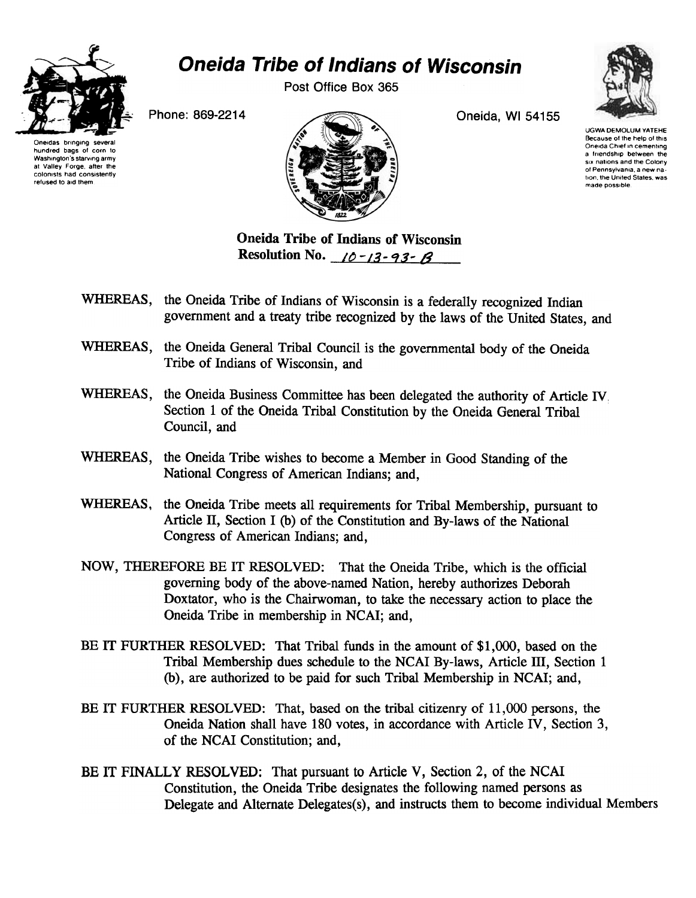

## Oneida Tribe of Indians of Wisconsin

Post Office Box 365



Oneidas bringing hundred bags of corn to Washington's starving army at Valley Forge, after the colonists had consistently refused to aid them



UGWA DEMOLUM YATEHE Because of the help of this Oneida Chief In cementing a friendship between the SIX nations and the Colony of Pennsylvania. a new nation the United States. was made possible

Oneida Tribe of Indians of Wisconsin Resolution No.  $10 - 13 - 93 - 8$ 

- WHEREAS, the Oneida Tribe of Indians of Wisconsin is a federally recognized Indian government and a treaty tribe recognized by the laws of the United States, and
- WHEREAS, the Oneida General Tribal Council is the governmental body of the Oneida Tribe of Indians of Wisconsin, and
- WHEREAS, the Oneida Business Committee has been delegated the authority of Article IV. Section 1 of the Oneida Tribal Constitution by the Oneida General Tribal Council, and
- WHEREAS, the Oneida Tribe wishes to become a Member in Good Standing of the National Congress of American Indians; and,
- WHEREAS, the Oneida Tribe meets all requirements for Tribal Membership, pursuant to Article ll, Section I (b) of the Constitution and By-laws of the National Congress of American Indians; and,
- NOW, THEREFORE BE IT RESOLVED: That the Oneida Tribe, which is the official governing body of the above-named Nation, hereby authorizes Deborah Doxtator, who is the Chairwoman, to take the necessary action to place the Oneida Tribe in membership in NCAI; and,
- BE IT FURTHER RESOLVED: That Tribal funds in the amount of \$1,000, based on the Tribal Membership dues schedule to the NCAI By-laws, Article III, Section 1 (b), are authorized to be paid for such Tribal Membership in NCAI; and,
- BE IT FURTHER RESOLVED: That, based on the tribal citizenry of 11,000 persons, the Oneida Nation shall have 180 votes, in accordance with Article IV, Section 3, of the NCAI Constitution; and,
- BE IT FINALLY RESOLVED: That pursuant to Article V, Section 2, of the NCAI Constitution, the Oneida Tribe designates the following named persons as Delegate and Alternate Delegates(s), and instructs them to become individual Members